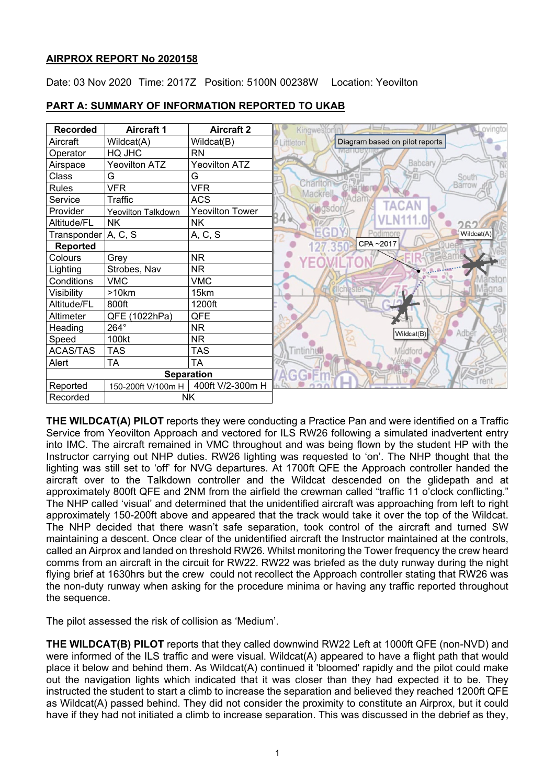# **AIRPROX REPORT No 2020158**

Date: 03 Nov 2020 Time: 2017Z Position: 5100N 00238W Location: Yeovilton



# **PART A: SUMMARY OF INFORMATION REPORTED TO UKAB**

**THE WILDCAT(A) PILOT** reports they were conducting a Practice Pan and were identified on a Traffic Service from Yeovilton Approach and vectored for ILS RW26 following a simulated inadvertent entry into IMC. The aircraft remained in VMC throughout and was being flown by the student HP with the Instructor carrying out NHP duties. RW26 lighting was requested to 'on'. The NHP thought that the lighting was still set to 'off' for NVG departures. At 1700ft QFE the Approach controller handed the aircraft over to the Talkdown controller and the Wildcat descended on the glidepath and at approximately 800ft QFE and 2NM from the airfield the crewman called "traffic 11 o'clock conflicting." The NHP called 'visual' and determined that the unidentified aircraft was approaching from left to right approximately 150-200ft above and appeared that the track would take it over the top of the Wildcat. The NHP decided that there wasn't safe separation, took control of the aircraft and turned SW maintaining a descent. Once clear of the unidentified aircraft the Instructor maintained at the controls, called an Airprox and landed on threshold RW26. Whilst monitoring the Tower frequency the crew heard comms from an aircraft in the circuit for RW22. RW22 was briefed as the duty runway during the night flying brief at 1630hrs but the crew could not recollect the Approach controller stating that RW26 was the non-duty runway when asking for the procedure minima or having any traffic reported throughout the sequence.

The pilot assessed the risk of collision as 'Medium'.

**THE WILDCAT(B) PILOT** reports that they called downwind RW22 Left at 1000ft QFE (non-NVD) and were informed of the ILS traffic and were visual. Wildcat(A) appeared to have a flight path that would place it below and behind them. As Wildcat(A) continued it 'bloomed' rapidly and the pilot could make out the navigation lights which indicated that it was closer than they had expected it to be. They instructed the student to start a climb to increase the separation and believed they reached 1200ft QFE as Wildcat(A) passed behind. They did not consider the proximity to constitute an Airprox, but it could have if they had not initiated a climb to increase separation. This was discussed in the debrief as they,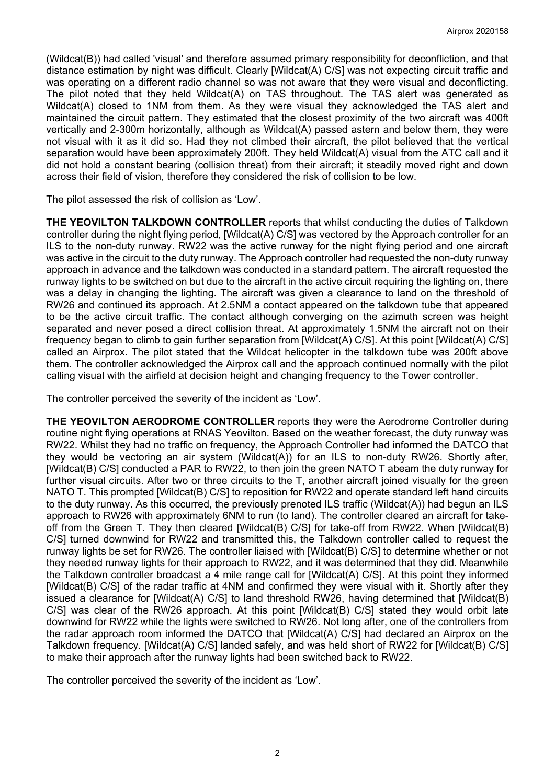(Wildcat(B)) had called 'visual' and therefore assumed primary responsibility for deconfliction, and that distance estimation by night was difficult. Clearly [Wildcat(A) C/S] was not expecting circuit traffic and was operating on a different radio channel so was not aware that they were visual and deconflicting. The pilot noted that they held Wildcat(A) on TAS throughout. The TAS alert was generated as Wildcat(A) closed to 1NM from them. As they were visual they acknowledged the TAS alert and maintained the circuit pattern. They estimated that the closest proximity of the two aircraft was 400ft vertically and 2-300m horizontally, although as Wildcat(A) passed astern and below them, they were not visual with it as it did so. Had they not climbed their aircraft, the pilot believed that the vertical separation would have been approximately 200ft. They held Wildcat(A) visual from the ATC call and it did not hold a constant bearing (collision threat) from their aircraft; it steadily moved right and down across their field of vision, therefore they considered the risk of collision to be low.

The pilot assessed the risk of collision as 'Low'.

**THE YEOVILTON TALKDOWN CONTROLLER** reports that whilst conducting the duties of Talkdown controller during the night flying period, [Wildcat(A) C/S] was vectored by the Approach controller for an ILS to the non-duty runway. RW22 was the active runway for the night flying period and one aircraft was active in the circuit to the duty runway. The Approach controller had requested the non-duty runway approach in advance and the talkdown was conducted in a standard pattern. The aircraft requested the runway lights to be switched on but due to the aircraft in the active circuit requiring the lighting on, there was a delay in changing the lighting. The aircraft was given a clearance to land on the threshold of RW26 and continued its approach. At 2.5NM a contact appeared on the talkdown tube that appeared to be the active circuit traffic. The contact although converging on the azimuth screen was height separated and never posed a direct collision threat. At approximately 1.5NM the aircraft not on their frequency began to climb to gain further separation from [Wildcat(A) C/S]. At this point [Wildcat(A) C/S] called an Airprox. The pilot stated that the Wildcat helicopter in the talkdown tube was 200ft above them. The controller acknowledged the Airprox call and the approach continued normally with the pilot calling visual with the airfield at decision height and changing frequency to the Tower controller.

The controller perceived the severity of the incident as 'Low'.

**THE YEOVILTON AERODROME CONTROLLER** reports they were the Aerodrome Controller during routine night flying operations at RNAS Yeovilton. Based on the weather forecast, the duty runway was RW22. Whilst they had no traffic on frequency, the Approach Controller had informed the DATCO that they would be vectoring an air system (Wildcat(A)) for an ILS to non-duty RW26. Shortly after, [Wildcat(B) C/S] conducted a PAR to RW22, to then join the green NATO T abeam the duty runway for further visual circuits. After two or three circuits to the T, another aircraft joined visually for the green NATO T. This prompted [Wildcat(B) C/S] to reposition for RW22 and operate standard left hand circuits to the duty runway. As this occurred, the previously prenoted ILS traffic (Wildcat(A)) had begun an ILS approach to RW26 with approximately 6NM to run (to land). The controller cleared an aircraft for takeoff from the Green T. They then cleared [Wildcat(B) C/S] for take-off from RW22. When [Wildcat(B) C/S] turned downwind for RW22 and transmitted this, the Talkdown controller called to request the runway lights be set for RW26. The controller liaised with [Wildcat(B) C/S] to determine whether or not they needed runway lights for their approach to RW22, and it was determined that they did. Meanwhile the Talkdown controller broadcast a 4 mile range call for [Wildcat(A) C/S]. At this point they informed [Wildcat(B) C/S] of the radar traffic at 4NM and confirmed they were visual with it. Shortly after they issued a clearance for [Wildcat(A) C/S] to land threshold RW26, having determined that [Wildcat(B) C/S] was clear of the RW26 approach. At this point [Wildcat(B) C/S] stated they would orbit late downwind for RW22 while the lights were switched to RW26. Not long after, one of the controllers from the radar approach room informed the DATCO that [Wildcat(A) C/S] had declared an Airprox on the Talkdown frequency. [Wildcat(A) C/S] landed safely, and was held short of RW22 for [Wildcat(B) C/S] to make their approach after the runway lights had been switched back to RW22.

The controller perceived the severity of the incident as 'Low'.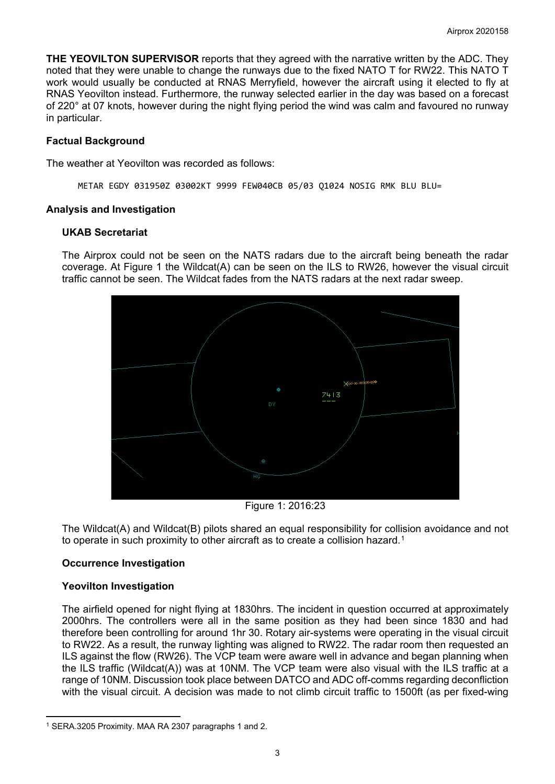**THE YEOVILTON SUPERVISOR** reports that they agreed with the narrative written by the ADC. They noted that they were unable to change the runways due to the fixed NATO T for RW22. This NATO T work would usually be conducted at RNAS Merryfield, however the aircraft using it elected to fly at RNAS Yeovilton instead. Furthermore, the runway selected earlier in the day was based on a forecast of 220° at 07 knots, however during the night flying period the wind was calm and favoured no runway in particular.

# **Factual Background**

The weather at Yeovilton was recorded as follows:

METAR EGDY 031950Z 03002KT 9999 FEW040CB 05/03 Q1024 NOSIG RMK BLU BLU=

# **Analysis and Investigation**

# **UKAB Secretariat**

The Airprox could not be seen on the NATS radars due to the aircraft being beneath the radar coverage. At Figure 1 the Wildcat(A) can be seen on the ILS to RW26, however the visual circuit traffic cannot be seen. The Wildcat fades from the NATS radars at the next radar sweep.



Figure 1: 2016:23

The Wildcat(A) and Wildcat(B) pilots shared an equal responsibility for collision avoidance and not to operate in such proximity to other aircraft as to create a collision hazard.<sup>[1](#page-2-0)</sup>

# **Occurrence Investigation**

# **Yeovilton Investigation**

The airfield opened for night flying at 1830hrs. The incident in question occurred at approximately 2000hrs. The controllers were all in the same position as they had been since 1830 and had therefore been controlling for around 1hr 30. Rotary air-systems were operating in the visual circuit to RW22. As a result, the runway lighting was aligned to RW22. The radar room then requested an ILS against the flow (RW26). The VCP team were aware well in advance and began planning when the ILS traffic (Wildcat(A)) was at 10NM. The VCP team were also visual with the ILS traffic at a range of 10NM. Discussion took place between DATCO and ADC off-comms regarding deconfliction with the visual circuit. A decision was made to not climb circuit traffic to 1500ft (as per fixed-wing

<span id="page-2-0"></span><sup>1</sup> SERA.3205 Proximity. MAA RA 2307 paragraphs 1 and 2.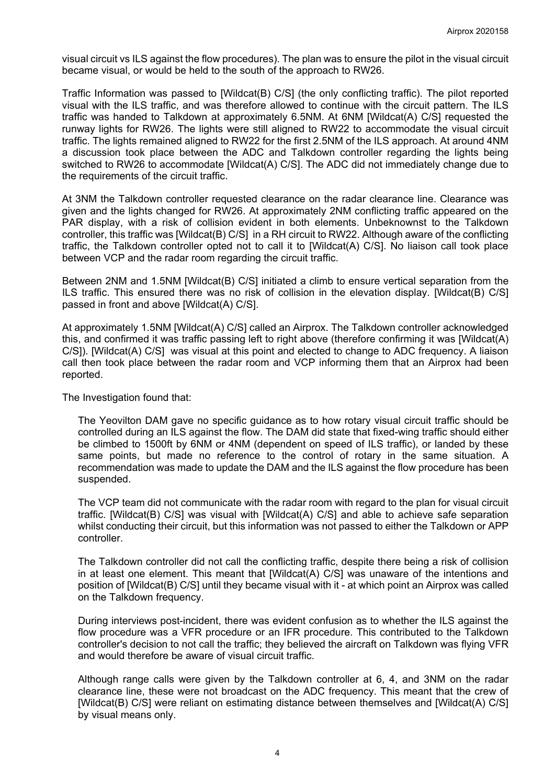visual circuit vs ILS against the flow procedures). The plan was to ensure the pilot in the visual circuit became visual, or would be held to the south of the approach to RW26.

Traffic Information was passed to [Wildcat(B) C/S] (the only conflicting traffic). The pilot reported visual with the ILS traffic, and was therefore allowed to continue with the circuit pattern. The ILS traffic was handed to Talkdown at approximately 6.5NM. At 6NM [Wildcat(A) C/S] requested the runway lights for RW26. The lights were still aligned to RW22 to accommodate the visual circuit traffic. The lights remained aligned to RW22 for the first 2.5NM of the ILS approach. At around 4NM a discussion took place between the ADC and Talkdown controller regarding the lights being switched to RW26 to accommodate [Wildcat(A) C/S]. The ADC did not immediately change due to the requirements of the circuit traffic.

At 3NM the Talkdown controller requested clearance on the radar clearance line. Clearance was given and the lights changed for RW26. At approximately 2NM conflicting traffic appeared on the PAR display, with a risk of collision evident in both elements. Unbeknownst to the Talkdown controller, this traffic was [Wildcat(B) C/S] in a RH circuit to RW22. Although aware of the conflicting traffic, the Talkdown controller opted not to call it to [Wildcat(A) C/S]. No liaison call took place between VCP and the radar room regarding the circuit traffic.

Between 2NM and 1.5NM [Wildcat(B) C/S] initiated a climb to ensure vertical separation from the ILS traffic. This ensured there was no risk of collision in the elevation display. [Wildcat(B) C/S] passed in front and above [Wildcat(A) C/S].

At approximately 1.5NM [Wildcat(A) C/S] called an Airprox. The Talkdown controller acknowledged this, and confirmed it was traffic passing left to right above (therefore confirming it was [Wildcat(A) C/S]). [Wildcat(A) C/S] was visual at this point and elected to change to ADC frequency. A liaison call then took place between the radar room and VCP informing them that an Airprox had been reported.

The Investigation found that:

The Yeovilton DAM gave no specific guidance as to how rotary visual circuit traffic should be controlled during an ILS against the flow. The DAM did state that fixed-wing traffic should either be climbed to 1500ft by 6NM or 4NM (dependent on speed of ILS traffic), or landed by these same points, but made no reference to the control of rotary in the same situation. A recommendation was made to update the DAM and the ILS against the flow procedure has been suspended.

The VCP team did not communicate with the radar room with regard to the plan for visual circuit traffic. [Wildcat(B) C/S] was visual with [Wildcat(A) C/S] and able to achieve safe separation whilst conducting their circuit, but this information was not passed to either the Talkdown or APP controller.

The Talkdown controller did not call the conflicting traffic, despite there being a risk of collision in at least one element. This meant that [Wildcat(A) C/S] was unaware of the intentions and position of [Wildcat(B) C/S] until they became visual with it - at which point an Airprox was called on the Talkdown frequency.

During interviews post-incident, there was evident confusion as to whether the ILS against the flow procedure was a VFR procedure or an IFR procedure. This contributed to the Talkdown controller's decision to not call the traffic; they believed the aircraft on Talkdown was flying VFR and would therefore be aware of visual circuit traffic.

Although range calls were given by the Talkdown controller at 6, 4, and 3NM on the radar clearance line, these were not broadcast on the ADC frequency. This meant that the crew of [Wildcat(B) C/S] were reliant on estimating distance between themselves and [Wildcat(A) C/S] by visual means only.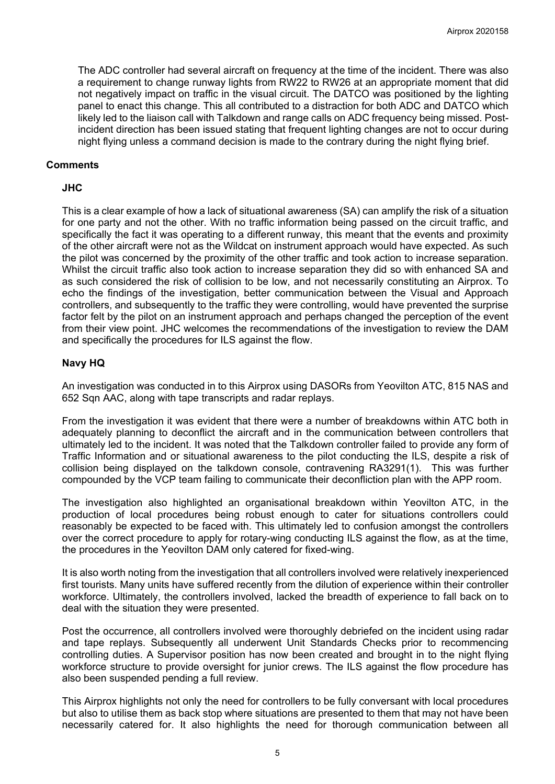The ADC controller had several aircraft on frequency at the time of the incident. There was also a requirement to change runway lights from RW22 to RW26 at an appropriate moment that did not negatively impact on traffic in the visual circuit. The DATCO was positioned by the lighting panel to enact this change. This all contributed to a distraction for both ADC and DATCO which likely led to the liaison call with Talkdown and range calls on ADC frequency being missed. Postincident direction has been issued stating that frequent lighting changes are not to occur during night flying unless a command decision is made to the contrary during the night flying brief.

### **Comments**

### **JHC**

This is a clear example of how a lack of situational awareness (SA) can amplify the risk of a situation for one party and not the other. With no traffic information being passed on the circuit traffic, and specifically the fact it was operating to a different runway, this meant that the events and proximity of the other aircraft were not as the Wildcat on instrument approach would have expected. As such the pilot was concerned by the proximity of the other traffic and took action to increase separation. Whilst the circuit traffic also took action to increase separation they did so with enhanced SA and as such considered the risk of collision to be low, and not necessarily constituting an Airprox. To echo the findings of the investigation, better communication between the Visual and Approach controllers, and subsequently to the traffic they were controlling, would have prevented the surprise factor felt by the pilot on an instrument approach and perhaps changed the perception of the event from their view point. JHC welcomes the recommendations of the investigation to review the DAM and specifically the procedures for ILS against the flow.

### **Navy HQ**

An investigation was conducted in to this Airprox using DASORs from Yeovilton ATC, 815 NAS and 652 Sqn AAC, along with tape transcripts and radar replays.

From the investigation it was evident that there were a number of breakdowns within ATC both in adequately planning to deconflict the aircraft and in the communication between controllers that ultimately led to the incident. It was noted that the Talkdown controller failed to provide any form of Traffic Information and or situational awareness to the pilot conducting the ILS, despite a risk of collision being displayed on the talkdown console, contravening RA3291(1). This was further compounded by the VCP team failing to communicate their deconfliction plan with the APP room.

The investigation also highlighted an organisational breakdown within Yeovilton ATC, in the production of local procedures being robust enough to cater for situations controllers could reasonably be expected to be faced with. This ultimately led to confusion amongst the controllers over the correct procedure to apply for rotary-wing conducting ILS against the flow, as at the time, the procedures in the Yeovilton DAM only catered for fixed-wing.

It is also worth noting from the investigation that all controllers involved were relatively inexperienced first tourists. Many units have suffered recently from the dilution of experience within their controller workforce. Ultimately, the controllers involved, lacked the breadth of experience to fall back on to deal with the situation they were presented.

Post the occurrence, all controllers involved were thoroughly debriefed on the incident using radar and tape replays. Subsequently all underwent Unit Standards Checks prior to recommencing controlling duties. A Supervisor position has now been created and brought in to the night flying workforce structure to provide oversight for junior crews. The ILS against the flow procedure has also been suspended pending a full review.

This Airprox highlights not only the need for controllers to be fully conversant with local procedures but also to utilise them as back stop where situations are presented to them that may not have been necessarily catered for. It also highlights the need for thorough communication between all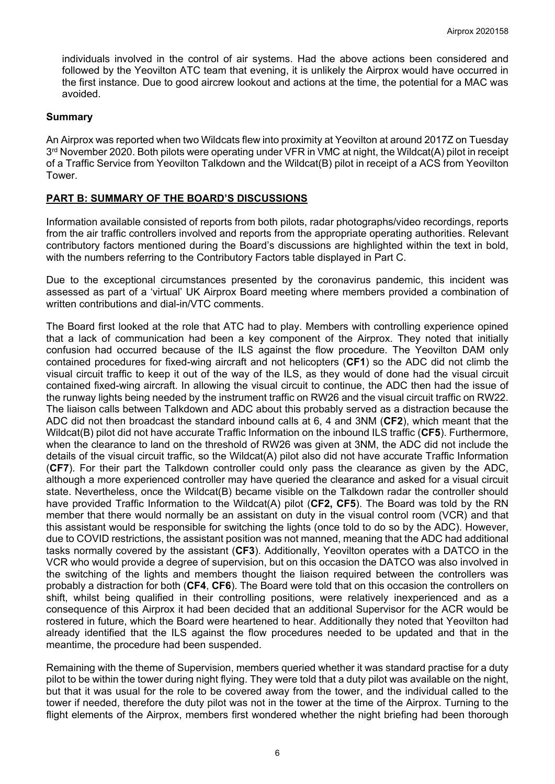individuals involved in the control of air systems. Had the above actions been considered and followed by the Yeovilton ATC team that evening, it is unlikely the Airprox would have occurred in the first instance. Due to good aircrew lookout and actions at the time, the potential for a MAC was avoided.

#### **Summary**

An Airprox was reported when two Wildcats flew into proximity at Yeovilton at around 2017Z on Tuesday 3<sup>rd</sup> November 2020. Both pilots were operating under VFR in VMC at night, the Wildcat(A) pilot in receipt of a Traffic Service from Yeovilton Talkdown and the Wildcat(B) pilot in receipt of a ACS from Yeovilton Tower.

### **PART B: SUMMARY OF THE BOARD'S DISCUSSIONS**

Information available consisted of reports from both pilots, radar photographs/video recordings, reports from the air traffic controllers involved and reports from the appropriate operating authorities. Relevant contributory factors mentioned during the Board's discussions are highlighted within the text in bold, with the numbers referring to the Contributory Factors table displayed in Part C.

Due to the exceptional circumstances presented by the coronavirus pandemic, this incident was assessed as part of a 'virtual' UK Airprox Board meeting where members provided a combination of written contributions and dial-in/VTC comments.

The Board first looked at the role that ATC had to play. Members with controlling experience opined that a lack of communication had been a key component of the Airprox. They noted that initially confusion had occurred because of the ILS against the flow procedure. The Yeovilton DAM only contained procedures for fixed-wing aircraft and not helicopters (**CF1**) so the ADC did not climb the visual circuit traffic to keep it out of the way of the ILS, as they would of done had the visual circuit contained fixed-wing aircraft. In allowing the visual circuit to continue, the ADC then had the issue of the runway lights being needed by the instrument traffic on RW26 and the visual circuit traffic on RW22. The liaison calls between Talkdown and ADC about this probably served as a distraction because the ADC did not then broadcast the standard inbound calls at 6, 4 and 3NM (**CF2**), which meant that the Wildcat(B) pilot did not have accurate Traffic Information on the inbound ILS traffic (**CF5**). Furthermore, when the clearance to land on the threshold of RW26 was given at 3NM, the ADC did not include the details of the visual circuit traffic, so the Wildcat(A) pilot also did not have accurate Traffic Information (**CF7**). For their part the Talkdown controller could only pass the clearance as given by the ADC, although a more experienced controller may have queried the clearance and asked for a visual circuit state. Nevertheless, once the Wildcat(B) became visible on the Talkdown radar the controller should have provided Traffic Information to the Wildcat(A) pilot (**CF2, CF5**). The Board was told by the RN member that there would normally be an assistant on duty in the visual control room (VCR) and that this assistant would be responsible for switching the lights (once told to do so by the ADC). However, due to COVID restrictions, the assistant position was not manned, meaning that the ADC had additional tasks normally covered by the assistant (**CF3**). Additionally, Yeovilton operates with a DATCO in the VCR who would provide a degree of supervision, but on this occasion the DATCO was also involved in the switching of the lights and members thought the liaison required between the controllers was probably a distraction for both (**CF4**, **CF6**). The Board were told that on this occasion the controllers on shift, whilst being qualified in their controlling positions, were relatively inexperienced and as a consequence of this Airprox it had been decided that an additional Supervisor for the ACR would be rostered in future, which the Board were heartened to hear. Additionally they noted that Yeovilton had already identified that the ILS against the flow procedures needed to be updated and that in the meantime, the procedure had been suspended.

Remaining with the theme of Supervision, members queried whether it was standard practise for a duty pilot to be within the tower during night flying. They were told that a duty pilot was available on the night, but that it was usual for the role to be covered away from the tower, and the individual called to the tower if needed, therefore the duty pilot was not in the tower at the time of the Airprox. Turning to the flight elements of the Airprox, members first wondered whether the night briefing had been thorough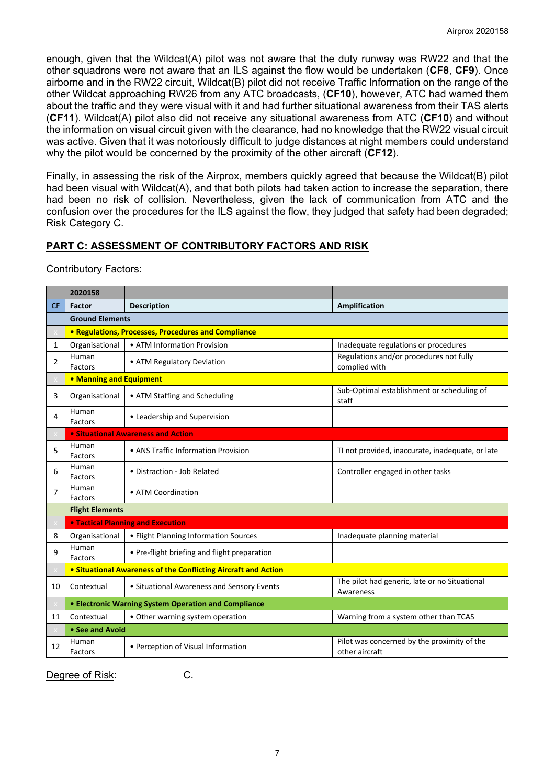enough, given that the Wildcat(A) pilot was not aware that the duty runway was RW22 and that the other squadrons were not aware that an ILS against the flow would be undertaken (**CF8**, **CF9**). Once airborne and in the RW22 circuit, Wildcat(B) pilot did not receive Traffic Information on the range of the other Wildcat approaching RW26 from any ATC broadcasts, (**CF10**), however, ATC had warned them about the traffic and they were visual with it and had further situational awareness from their TAS alerts (**CF11**). Wildcat(A) pilot also did not receive any situational awareness from ATC (**CF10**) and without the information on visual circuit given with the clearance, had no knowledge that the RW22 visual circuit was active. Given that it was notoriously difficult to judge distances at night members could understand why the pilot would be concerned by the proximity of the other aircraft (**CF12**).

Finally, in assessing the risk of the Airprox, members quickly agreed that because the Wildcat(B) pilot had been visual with Wildcat(A), and that both pilots had taken action to increase the separation, there had been no risk of collision. Nevertheless, given the lack of communication from ATC and the confusion over the procedures for the ILS against the flow, they judged that safety had been degraded; Risk Category C.

# **PART C: ASSESSMENT OF CONTRIBUTORY FACTORS AND RISK**

### Contributory Factors:

|                | 2020158                                                        |                                              |                                                               |
|----------------|----------------------------------------------------------------|----------------------------------------------|---------------------------------------------------------------|
| <b>CF</b>      | <b>Factor</b>                                                  | <b>Description</b>                           | Amplification                                                 |
|                | <b>Ground Elements</b>                                         |                                              |                                                               |
|                | • Regulations, Processes, Procedures and Compliance            |                                              |                                                               |
| $\mathbf{1}$   | Organisational                                                 | • ATM Information Provision                  | Inadequate regulations or procedures                          |
| $\overline{2}$ | Human<br>Factors                                               | • ATM Regulatory Deviation                   | Regulations and/or procedures not fully<br>complied with      |
|                | • Manning and Equipment                                        |                                              |                                                               |
| 3              | Organisational                                                 | • ATM Staffing and Scheduling                | Sub-Optimal establishment or scheduling of<br>staff           |
| 4              | Human<br>Factors                                               | • Leadership and Supervision                 |                                                               |
|                |                                                                | <b>.</b> Situational Awareness and Action    |                                                               |
| 5              | Human<br>Factors                                               | • ANS Traffic Information Provision          | TI not provided, inaccurate, inadequate, or late              |
| 6              | Human<br>Factors                                               | • Distraction - Job Related                  | Controller engaged in other tasks                             |
| 7              | Human<br>Factors                                               | • ATM Coordination                           |                                                               |
|                | <b>Flight Elements</b>                                         |                                              |                                                               |
|                | <b>. Tactical Planning and Execution</b>                       |                                              |                                                               |
| 8              | Organisational                                                 | • Flight Planning Information Sources        | Inadequate planning material                                  |
| 9              | Human<br>Factors                                               | • Pre-flight briefing and flight preparation |                                                               |
|                | • Situational Awareness of the Conflicting Aircraft and Action |                                              |                                                               |
| 10             | Contextual                                                     | • Situational Awareness and Sensory Events   | The pilot had generic, late or no Situational<br>Awareness    |
|                | • Electronic Warning System Operation and Compliance           |                                              |                                                               |
| 11             | Contextual                                                     | • Other warning system operation             | Warning from a system other than TCAS                         |
|                | • See and Avoid                                                |                                              |                                                               |
| 12             | Human<br>Factors                                               | • Perception of Visual Information           | Pilot was concerned by the proximity of the<br>other aircraft |

Degree of Risk: C.